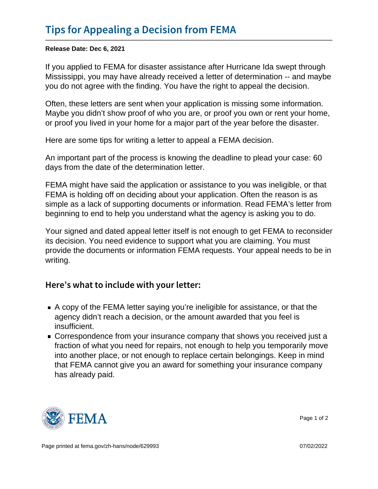Release Date: Dec 6, 2021

If you applied to FEMA for disaster assistance after Hurricane Ida swept through Mississippi, you may have already received a letter of determination -- and maybe you do not agree with the finding. You have the right to appeal the decision.

Often, these letters are sent when your application is missing some information. Maybe you didn't show proof of who you are, or proof you own or rent your home, or proof you lived in your home for a major part of the year before the disaster.

Here are some tips for writing a letter to appeal a FEMA decision.

An important part of the process is knowing the deadline to plead your case: 60 days from the date of the determination letter.

FEMA might have said the application or assistance to you was ineligible, or that FEMA is holding off on deciding about your application. Often the reason is as simple as a lack of supporting documents or information. Read FEMA's letter from beginning to end to help you understand what the agency is asking you to do.

Your signed and dated appeal letter itself is not enough to get FEMA to reconsider its decision. You need evidence to support what you are claiming. You must provide the documents or information FEMA requests. Your appeal needs to be in writing.

## Here s what to include with your letter:

- A copy of the FEMA letter saying you're ineligible for assistance, or that the agency didn't reach a decision, or the amount awarded that you feel is insufficient.
- Correspondence from your insurance company that shows you received just a fraction of what you need for repairs, not enough to help you temporarily move into another place, or not enough to replace certain belongings. Keep in mind that FEMA cannot give you an award for something your insurance company has already paid.



Page 1 of 2

Page printed at [fema.gov/zh-hans/node/629993](https://www.fema.gov/zh-hans/node/629993) 07/02/2022